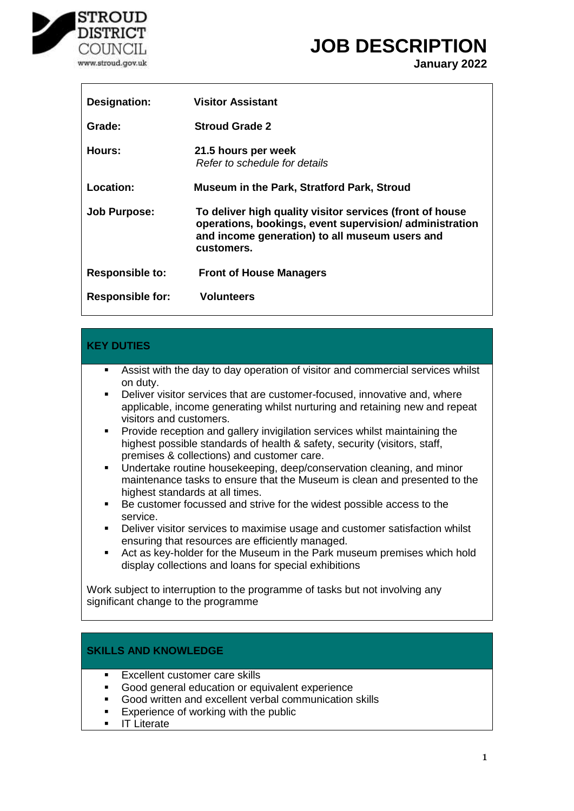

# **JOB DESCRIPTION**

**January 2022**

| Designation:            | <b>Visitor Assistant</b>                                                                                                                                                           |
|-------------------------|------------------------------------------------------------------------------------------------------------------------------------------------------------------------------------|
| Grade:                  | <b>Stroud Grade 2</b>                                                                                                                                                              |
| Hours:                  | 21.5 hours per week<br>Refer to schedule for details                                                                                                                               |
| Location:               | <b>Museum in the Park, Stratford Park, Stroud</b>                                                                                                                                  |
| <b>Job Purpose:</b>     | To deliver high quality visitor services (front of house<br>operations, bookings, event supervision/administration<br>and income generation) to all museum users and<br>customers. |
| <b>Responsible to:</b>  | <b>Front of House Managers</b>                                                                                                                                                     |
| <b>Responsible for:</b> | Volunteers                                                                                                                                                                         |

#### **KEY DUTIES**

- Assist with the day to day operation of visitor and commercial services whilst on duty.
- Deliver visitor services that are customer-focused, innovative and, where applicable, income generating whilst nurturing and retaining new and repeat visitors and customers.
- **Provide reception and gallery invigilation services whilst maintaining the** highest possible standards of health & safety, security (visitors, staff, premises & collections) and customer care.
- **Undertake routine housekeeping, deep/conservation cleaning, and minor** maintenance tasks to ensure that the Museum is clean and presented to the highest standards at all times.
- Be customer focussed and strive for the widest possible access to the service.
- Deliver visitor services to maximise usage and customer satisfaction whilst ensuring that resources are efficiently managed.
- Act as key-holder for the Museum in the Park museum premises which hold display collections and loans for special exhibitions

Work subject to interruption to the programme of tasks but not involving any significant change to the programme

#### **SKILLS AND KNOWLEDGE**

- **Excellent customer care skills**
- Good general education or equivalent experience
- Good written and excellent verbal communication skills
- **Experience of working with the public**
- IT Literate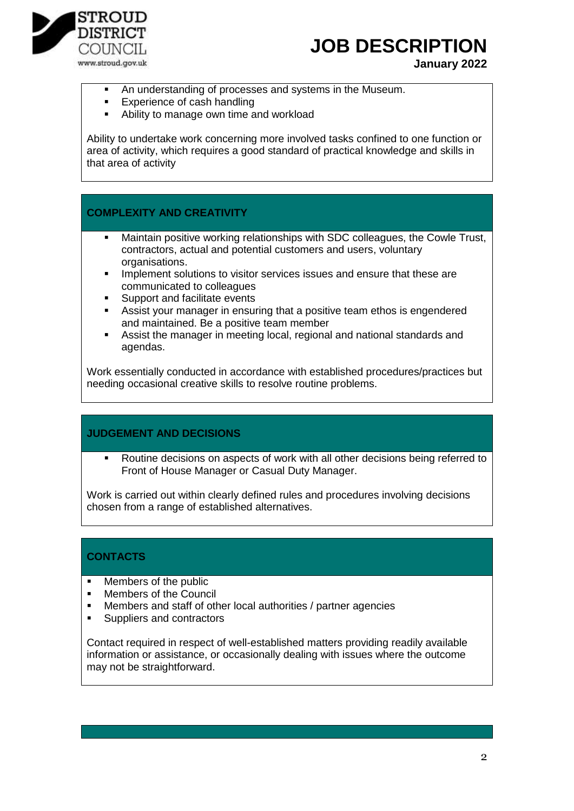

# **JOB DESCRIPTION**

**January 2022**

- An understanding of processes and systems in the Museum.
- Experience of cash handling
- Ability to manage own time and workload

Ability to undertake work concerning more involved tasks confined to one function or area of activity, which requires a good standard of practical knowledge and skills in that area of activity

## **COMPLEXITY AND CREATIVITY**

- Maintain positive working relationships with SDC colleagues, the Cowle Trust, contractors, actual and potential customers and users, voluntary organisations.
- Implement solutions to visitor services issues and ensure that these are communicated to colleagues
- Support and facilitate events
- Assist your manager in ensuring that a positive team ethos is engendered and maintained. Be a positive team member
- Assist the manager in meeting local, regional and national standards and agendas.

Work essentially conducted in accordance with established procedures/practices but needing occasional creative skills to resolve routine problems.

### **JUDGEMENT AND DECISIONS**

 Routine decisions on aspects of work with all other decisions being referred to Front of House Manager or Casual Duty Manager.

Work is carried out within clearly defined rules and procedures involving decisions chosen from a range of established alternatives.

### **CONTACTS**

- Members of the public
- **Members of the Council**
- Members and staff of other local authorities / partner agencies<br>• Suppliers and contractors
- Suppliers and contractors

Contact required in respect of well-established matters providing readily available information or assistance, or occasionally dealing with issues where the outcome may not be straightforward.